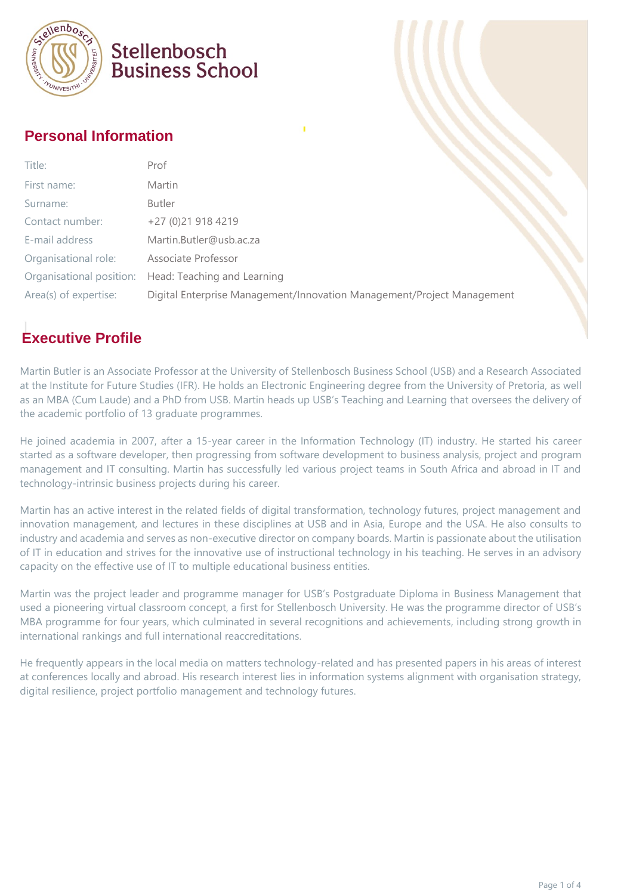

## Stellenbosch **Business School**

### **Personal Information**

| Title:                | Prof                                                                   |  |
|-----------------------|------------------------------------------------------------------------|--|
| First name:           | Martin                                                                 |  |
| Surname:              | Butler                                                                 |  |
| Contact number:       | +27 (0)21 918 4219                                                     |  |
| E-mail address        | Martin.Butler@usb.ac.za                                                |  |
| Organisational role:  | Associate Professor                                                    |  |
|                       | Organisational position: Head: Teaching and Learning                   |  |
| Area(s) of expertise: | Digital Enterprise Management/Innovation Management/Project Management |  |

## **Executive Profile**

Martin Butler is an Associate Professor at the University of Stellenbosch Business School (USB) and a Research Associated at the Institute for Future Studies (IFR). He holds an Electronic Engineering degree from the University of Pretoria, as well as an MBA (Cum Laude) and a PhD from USB. Martin heads up USB's Teaching and Learning that oversees the delivery of the academic portfolio of 13 graduate programmes.

He joined academia in 2007, after a 15-year career in the Information Technology (IT) industry. He started his career started as a software developer, then progressing from software development to business analysis, project and program management and IT consulting. Martin has successfully led various project teams in South Africa and abroad in IT and technology-intrinsic business projects during his career.

Martin has an active interest in the related fields of digital transformation, technology futures, project management and innovation management, and lectures in these disciplines at USB and in Asia, Europe and the USA. He also consults to industry and academia and serves as non-executive director on company boards. Martin is passionate about the utilisation of IT in education and strives for the innovative use of instructional technology in his teaching. He serves in an advisory capacity on the effective use of IT to multiple educational business entities.

Martin was the project leader and programme manager for USB's Postgraduate Diploma in Business Management that used a pioneering virtual classroom concept, a first for Stellenbosch University. He was the programme director of USB's MBA programme for four years, which culminated in several recognitions and achievements, including strong growth in international rankings and full international reaccreditations.

He frequently appears in the local media on matters technology-related and has presented papers in his areas of interest at conferences locally and abroad. His research interest lies in information systems alignment with organisation strategy, digital resilience, project portfolio management and technology futures.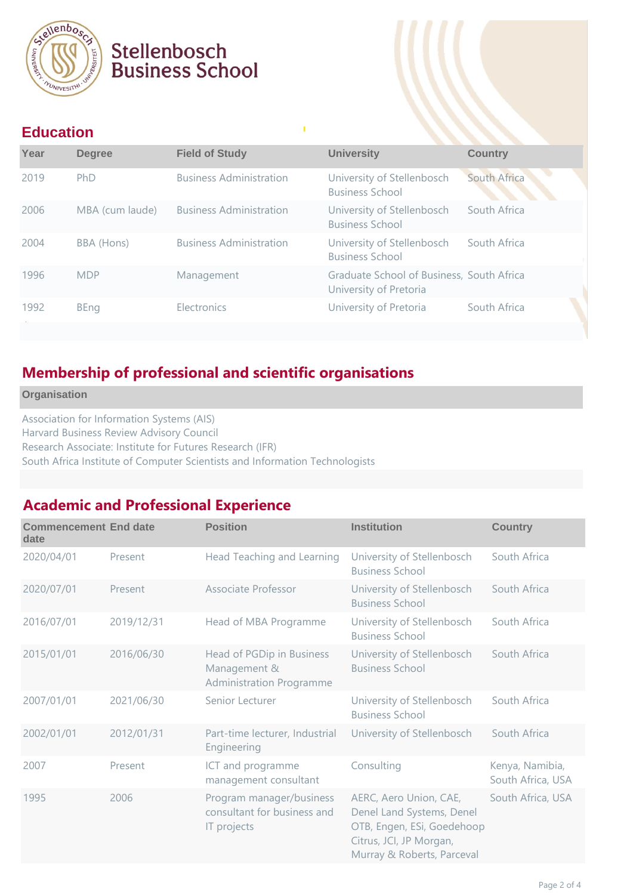

# Stellenbosch **Business School**

#### **Education**

| --------- |                 |                                |                                                                     |                |
|-----------|-----------------|--------------------------------|---------------------------------------------------------------------|----------------|
| Year      | <b>Degree</b>   | <b>Field of Study</b>          | <b>University</b>                                                   | <b>Country</b> |
| 2019      | PhD             | <b>Business Administration</b> | University of Stellenbosch<br><b>Business School</b>                | South Africa   |
| 2006      | MBA (cum laude) | <b>Business Administration</b> | University of Stellenbosch<br><b>Business School</b>                | South Africa   |
| 2004      | BBA (Hons)      | <b>Business Administration</b> | University of Stellenbosch<br><b>Business School</b>                | South Africa   |
| 1996      | <b>MDP</b>      | Management                     | Graduate School of Business, South Africa<br>University of Pretoria |                |
| 1992      | <b>BEng</b>     | Electronics                    | University of Pretoria                                              | South Africa   |
|           |                 |                                |                                                                     |                |

## **Membership of professional and scientific organisations**

**Organisation**

Association for Information Systems (AIS) Harvard Business Review Advisory Council Research Associate: Institute for Futures Research (IFR) South Africa Institute of Computer Scientists and Information Technologists

### **Academic and Professional Experience**

| <b>Commencement End date</b><br>date |            | <b>Position</b>                                                              | <b>Institution</b>                                                                                                                         | <b>Country</b>                       |
|--------------------------------------|------------|------------------------------------------------------------------------------|--------------------------------------------------------------------------------------------------------------------------------------------|--------------------------------------|
| 2020/04/01                           | Present    | Head Teaching and Learning                                                   | University of Stellenbosch<br><b>Business School</b>                                                                                       | South Africa                         |
| 2020/07/01                           | Present    | Associate Professor                                                          | University of Stellenbosch<br><b>Business School</b>                                                                                       | South Africa                         |
| 2016/07/01                           | 2019/12/31 | Head of MBA Programme                                                        | University of Stellenbosch<br><b>Business School</b>                                                                                       | South Africa                         |
| 2015/01/01                           | 2016/06/30 | Head of PGDip in Business<br>Management &<br><b>Administration Programme</b> | University of Stellenbosch<br><b>Business School</b>                                                                                       | South Africa                         |
| 2007/01/01                           | 2021/06/30 | Senior Lecturer                                                              | University of Stellenbosch<br><b>Business School</b>                                                                                       | South Africa                         |
| 2002/01/01                           | 2012/01/31 | Part-time lecturer, Industrial<br>Engineering                                | University of Stellenbosch                                                                                                                 | South Africa                         |
| 2007                                 | Present    | ICT and programme<br>management consultant                                   | Consulting                                                                                                                                 | Kenya, Namibia,<br>South Africa, USA |
| 1995                                 | 2006       | Program manager/business<br>consultant for business and<br>IT projects       | AERC, Aero Union, CAE,<br>Denel Land Systems, Denel<br>OTB, Engen, ESi, Goedehoop<br>Citrus, JCI, JP Morgan,<br>Murray & Roberts, Parceval | South Africa, USA                    |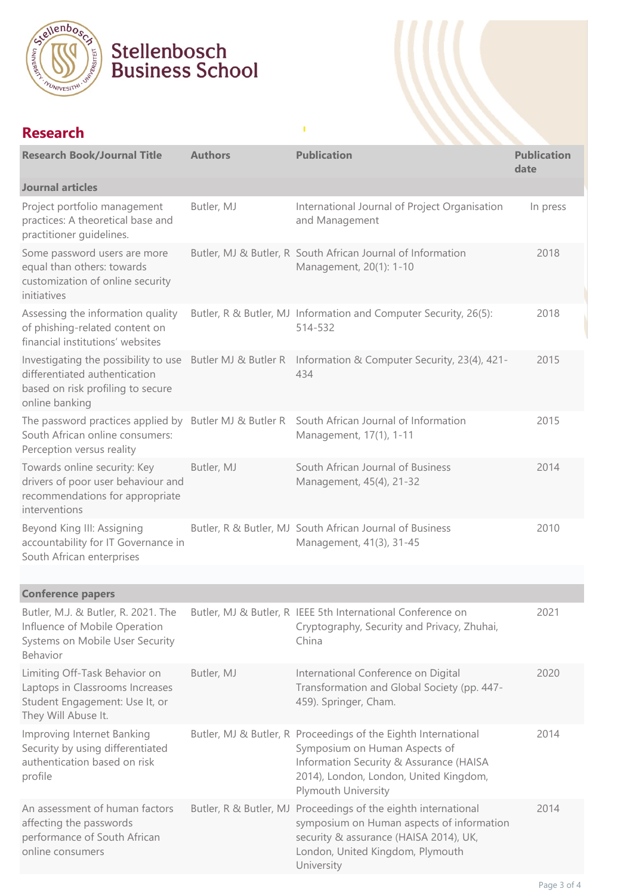

# Stellenbosch<br>Business School

### **Research**

| <b>Research Book/Journal Title</b>                                                                                        | <b>Authors</b>         | <b>Publication</b>                                                                                                                                                                                          | <b>Publication</b><br>date |
|---------------------------------------------------------------------------------------------------------------------------|------------------------|-------------------------------------------------------------------------------------------------------------------------------------------------------------------------------------------------------------|----------------------------|
| <b>Journal articles</b>                                                                                                   |                        |                                                                                                                                                                                                             |                            |
| Project portfolio management<br>practices: A theoretical base and<br>practitioner guidelines.                             | Butler, MJ             | International Journal of Project Organisation<br>and Management                                                                                                                                             | In press                   |
| Some password users are more<br>equal than others: towards<br>customization of online security<br>initiatives             |                        | Butler, MJ & Butler, R South African Journal of Information<br>Management, 20(1): 1-10                                                                                                                      | 2018                       |
| Assessing the information quality<br>of phishing-related content on<br>financial institutions' websites                   |                        | Butler, R & Butler, MJ Information and Computer Security, 26(5):<br>514-532                                                                                                                                 | 2018                       |
| differentiated authentication<br>based on risk profiling to secure<br>online banking                                      |                        | Investigating the possibility to use Butler MJ & Butler R Information & Computer Security, 23(4), 421-<br>434                                                                                               | 2015                       |
| South African online consumers:<br>Perception versus reality                                                              |                        | The password practices applied by Butler MJ & Butler R South African Journal of Information<br>Management, 17(1), 1-11                                                                                      | 2015                       |
| Towards online security: Key<br>drivers of poor user behaviour and<br>recommendations for appropriate<br>interventions    | Butler, MJ             | South African Journal of Business<br>Management, 45(4), 21-32                                                                                                                                               | 2014                       |
| Beyond King III: Assigning<br>accountability for IT Governance in<br>South African enterprises                            |                        | Butler, R & Butler, MJ South African Journal of Business<br>Management, 41(3), 31-45                                                                                                                        | 2010                       |
|                                                                                                                           |                        |                                                                                                                                                                                                             |                            |
| <b>Conference papers</b>                                                                                                  |                        |                                                                                                                                                                                                             |                            |
| Butler, M.J. & Butler, R. 2021. The<br>Influence of Mobile Operation<br>Systems on Mobile User Security<br>Behavior       |                        | Butler, MJ & Butler, R IEEE 5th International Conference on<br>Cryptography, Security and Privacy, Zhuhai,<br>China                                                                                         | 2021                       |
| Limiting Off-Task Behavior on<br>Laptops in Classrooms Increases<br>Student Engagement: Use It, or<br>They Will Abuse It. | Butler, MJ             | International Conference on Digital<br>Transformation and Global Society (pp. 447-<br>459). Springer, Cham.                                                                                                 | 2020                       |
| Improving Internet Banking<br>Security by using differentiated<br>authentication based on risk<br>profile                 |                        | Butler, MJ & Butler, R Proceedings of the Eighth International<br>Symposium on Human Aspects of<br>Information Security & Assurance (HAISA<br>2014), London, London, United Kingdom,<br>Plymouth University | 2014                       |
| An assessment of human factors<br>affecting the passwords<br>performance of South African<br>online consumers             | Butler, R & Butler, MJ | Proceedings of the eighth international<br>symposium on Human aspects of information<br>security & assurance (HAISA 2014), UK,<br>London, United Kingdom, Plymouth<br>University                            | 2014                       |

T,